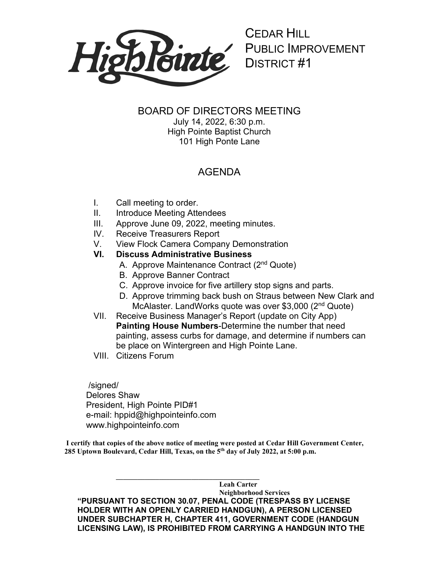

CEDAR HILL PUBLIC IMPROVEMENT DISTRICT #1

## BOARD OF DIRECTORS MEETING

July 14, 2022, 6:30 p.m. High Pointe Baptist Church 101 High Ponte Lane

## AGENDA

- I. Call meeting to order.
- II. Introduce Meeting Attendees
- III. Approve June 09, 2022, meeting minutes.
- IV. Receive Treasurers Report
- V. View Flock Camera Company Demonstration

## **VI. Discuss Administrative Business**

- A. Approve Maintenance Contract (2nd Quote)
- B. Approve Banner Contract
- C. Approve invoice for five artillery stop signs and parts.
- D. Approve trimming back bush on Straus between New Clark and McAlaster. LandWorks quote was over \$3,000 (2nd Quote)
- VII. Receive Business Manager's Report (update on City App) **Painting House Numbers**-Determine the number that need painting, assess curbs for damage, and determine if numbers can be place on Wintergreen and High Pointe Lane.
- VIII. Citizens Forum

/signed/ Delores Shaw President, High Pointe PID#1 e-mail: hppid@highpointeinfo.com www.highpointeinfo.com

**I certify that copies of the above notice of meeting were posted at Cedar Hill Government Center, 285 Uptown Boulevard, Cedar Hill, Texas, on the 5th day of July 2022, at 5:00 p.m.**

**\_\_\_\_\_\_\_\_\_\_\_\_\_\_\_\_\_\_\_\_\_\_\_\_\_\_\_\_\_\_\_\_\_\_\_\_\_\_\_\_**

**Leah Carter Neighborhood Services "PURSUANT TO SECTION 30.07, PENAL CODE (TRESPASS BY LICENSE HOLDER WITH AN OPENLY CARRIED HANDGUN), A PERSON LICENSED UNDER SUBCHAPTER H, CHAPTER 411, GOVERNMENT CODE (HANDGUN LICENSING LAW), IS PROHIBITED FROM CARRYING A HANDGUN INTO THE**